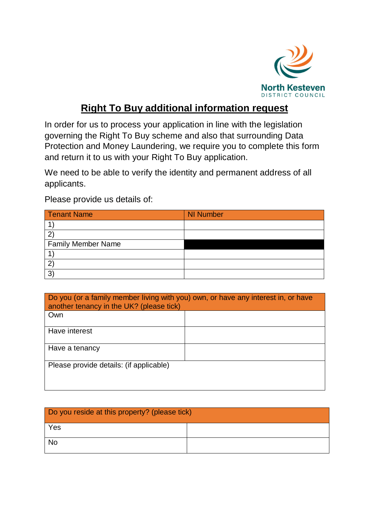

## **Right To Buy additional information request**

In order for us to process your application in line with the legislation governing the Right To Buy scheme and also that surrounding Data Protection and Money Laundering, we require you to complete this form and return it to us with your Right To Buy application.

We need to be able to verify the identity and permanent address of all applicants.

Please provide us details of:

| <b>Tenant Name</b>        | <b>NI Number</b> |
|---------------------------|------------------|
|                           |                  |
|                           |                  |
| <b>Family Member Name</b> |                  |
|                           |                  |
|                           |                  |
| 3                         |                  |

| Do you (or a family member living with you) own, or have any interest in, or have<br>another tenancy in the UK? (please tick) |  |  |
|-------------------------------------------------------------------------------------------------------------------------------|--|--|
| Own                                                                                                                           |  |  |
| Have interest                                                                                                                 |  |  |
| Have a tenancy                                                                                                                |  |  |
| Please provide details: (if applicable)                                                                                       |  |  |

| Do you reside at this property? (please tick) |  |  |
|-----------------------------------------------|--|--|
| Yes                                           |  |  |
| <b>No</b>                                     |  |  |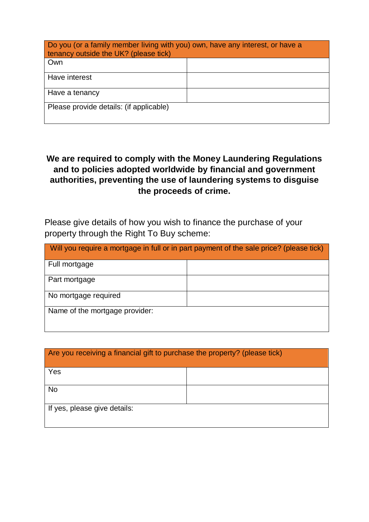| Do you (or a family member living with you) own, have any interest, or have a<br>tenancy outside the UK? (please tick) |  |  |
|------------------------------------------------------------------------------------------------------------------------|--|--|
| Own                                                                                                                    |  |  |
| Have interest                                                                                                          |  |  |
| Have a tenancy                                                                                                         |  |  |
| Please provide details: (if applicable)                                                                                |  |  |

## **We are required to comply with the Money Laundering Regulations and to policies adopted worldwide by financial and government authorities, preventing the use of laundering systems to disguise the proceeds of crime.**

Please give details of how you wish to finance the purchase of your property through the Right To Buy scheme:

| Will you require a mortgage in full or in part payment of the sale price? (please tick) |  |  |
|-----------------------------------------------------------------------------------------|--|--|
| Full mortgage                                                                           |  |  |
| Part mortgage                                                                           |  |  |
| No mortgage required                                                                    |  |  |
| Name of the mortgage provider:                                                          |  |  |

| Are you receiving a financial gift to purchase the property? (please tick) |  |
|----------------------------------------------------------------------------|--|
|                                                                            |  |
|                                                                            |  |
|                                                                            |  |
| Yes                                                                        |  |
|                                                                            |  |
|                                                                            |  |
|                                                                            |  |
| <b>No</b>                                                                  |  |
|                                                                            |  |
|                                                                            |  |
| If yes, please give details:                                               |  |
|                                                                            |  |
|                                                                            |  |
|                                                                            |  |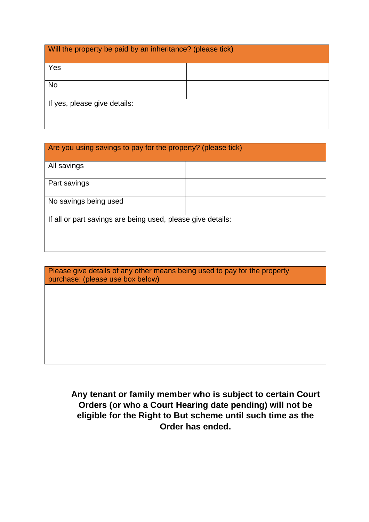| Will the property be paid by an inheritance? (please tick) |  |  |
|------------------------------------------------------------|--|--|
| Yes                                                        |  |  |
| <b>No</b>                                                  |  |  |
| If yes, please give details:                               |  |  |

| Are you using savings to pay for the property? (please tick) |  |  |
|--------------------------------------------------------------|--|--|
| All savings                                                  |  |  |
| Part savings                                                 |  |  |
| No savings being used                                        |  |  |
| If all or part savings are being used, please give details:  |  |  |

| Please give details of any other means being used to pay for the property<br>purchase: (please use box below) |
|---------------------------------------------------------------------------------------------------------------|
|                                                                                                               |
|                                                                                                               |
|                                                                                                               |
|                                                                                                               |
|                                                                                                               |
|                                                                                                               |
|                                                                                                               |
|                                                                                                               |
|                                                                                                               |

**Any tenant or family member who is subject to certain Court Orders (or who a Court Hearing date pending) will not be eligible for the Right to But scheme until such time as the Order has ended.**